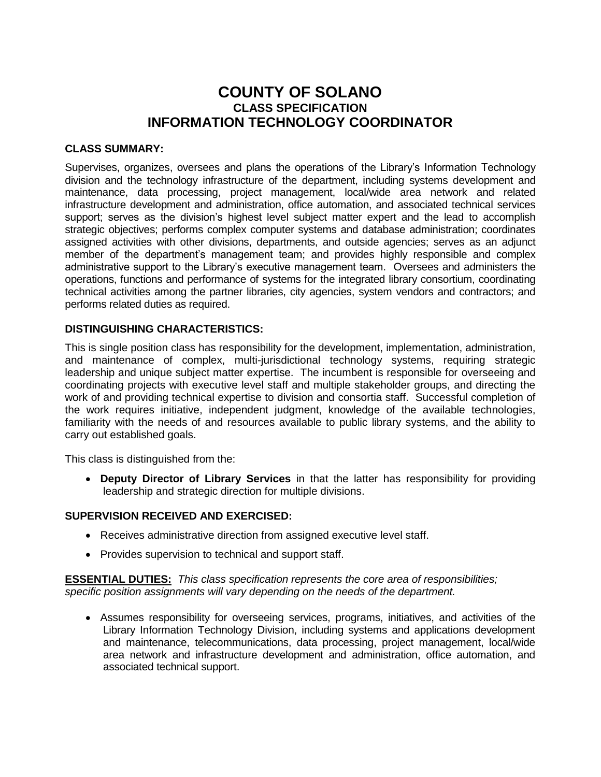# **COUNTY OF SOLANO CLASS SPECIFICATION INFORMATION TECHNOLOGY COORDINATOR**

## **CLASS SUMMARY:**

Supervises, organizes, oversees and plans the operations of the Library's Information Technology division and the technology infrastructure of the department, including systems development and maintenance, data processing, project management, local/wide area network and related infrastructure development and administration, office automation, and associated technical services support; serves as the division's highest level subject matter expert and the lead to accomplish strategic objectives; performs complex computer systems and database administration; coordinates assigned activities with other divisions, departments, and outside agencies; serves as an adjunct member of the department's management team; and provides highly responsible and complex administrative support to the Library's executive management team. Oversees and administers the operations, functions and performance of systems for the integrated library consortium, coordinating technical activities among the partner libraries, city agencies, system vendors and contractors; and performs related duties as required.

## **DISTINGUISHING CHARACTERISTICS:**

This is single position class has responsibility for the development, implementation, administration, and maintenance of complex, multi-jurisdictional technology systems, requiring strategic leadership and unique subject matter expertise. The incumbent is responsible for overseeing and coordinating projects with executive level staff and multiple stakeholder groups, and directing the work of and providing technical expertise to division and consortia staff. Successful completion of the work requires initiative, independent judgment, knowledge of the available technologies, familiarity with the needs of and resources available to public library systems, and the ability to carry out established goals.

This class is distinguished from the:

 **Deputy Director of Library Services** in that the latter has responsibility for providing leadership and strategic direction for multiple divisions.

# **SUPERVISION RECEIVED AND EXERCISED:**

- Receives administrative direction from assigned executive level staff.
- Provides supervision to technical and support staff.

**ESSENTIAL DUTIES:** *This class specification represents the core area of responsibilities; specific position assignments will vary depending on the needs of the department.*

 Assumes responsibility for overseeing services, programs, initiatives, and activities of the Library Information Technology Division, including systems and applications development and maintenance, telecommunications, data processing, project management, local/wide area network and infrastructure development and administration, office automation, and associated technical support.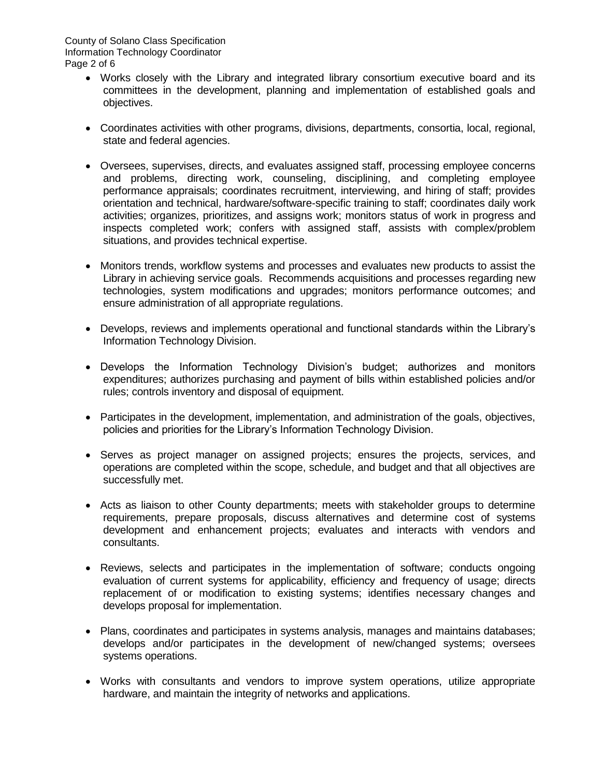- Works closely with the Library and integrated library consortium executive board and its committees in the development, planning and implementation of established goals and objectives.
- Coordinates activities with other programs, divisions, departments, consortia, local, regional, state and federal agencies.
- Oversees, supervises, directs, and evaluates assigned staff, processing employee concerns and problems, directing work, counseling, disciplining, and completing employee performance appraisals; coordinates recruitment, interviewing, and hiring of staff; provides orientation and technical, hardware/software-specific training to staff; coordinates daily work activities; organizes, prioritizes, and assigns work; monitors status of work in progress and inspects completed work; confers with assigned staff, assists with complex/problem situations, and provides technical expertise.
- Monitors trends, workflow systems and processes and evaluates new products to assist the Library in achieving service goals. Recommends acquisitions and processes regarding new technologies, system modifications and upgrades; monitors performance outcomes; and ensure administration of all appropriate regulations.
- Develops, reviews and implements operational and functional standards within the Library's Information Technology Division.
- Develops the Information Technology Division's budget; authorizes and monitors expenditures; authorizes purchasing and payment of bills within established policies and/or rules; controls inventory and disposal of equipment.
- Participates in the development, implementation, and administration of the goals, objectives, policies and priorities for the Library's Information Technology Division.
- Serves as project manager on assigned projects; ensures the projects, services, and operations are completed within the scope, schedule, and budget and that all objectives are successfully met.
- Acts as liaison to other County departments; meets with stakeholder groups to determine requirements, prepare proposals, discuss alternatives and determine cost of systems development and enhancement projects; evaluates and interacts with vendors and consultants.
- Reviews, selects and participates in the implementation of software; conducts ongoing evaluation of current systems for applicability, efficiency and frequency of usage; directs replacement of or modification to existing systems; identifies necessary changes and develops proposal for implementation.
- Plans, coordinates and participates in systems analysis, manages and maintains databases; develops and/or participates in the development of new/changed systems; oversees systems operations.
- Works with consultants and vendors to improve system operations, utilize appropriate hardware, and maintain the integrity of networks and applications.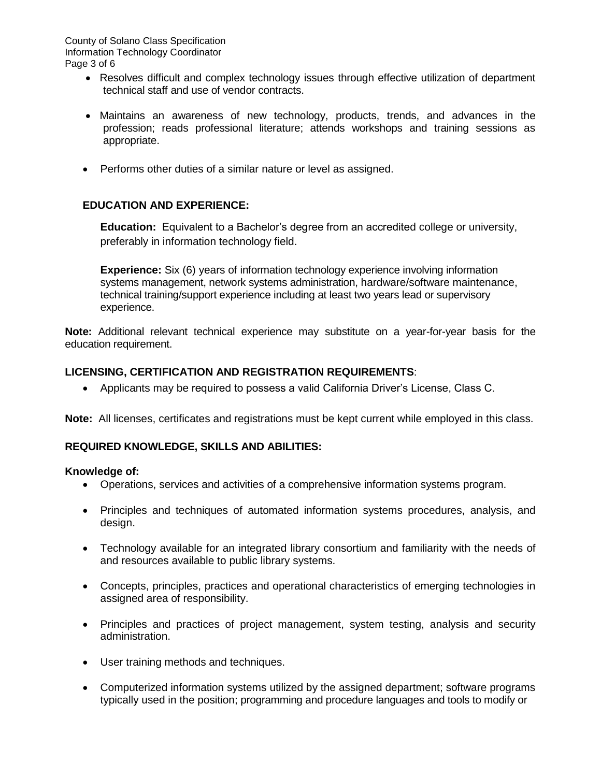- Resolves difficult and complex technology issues through effective utilization of department technical staff and use of vendor contracts.
- Maintains an awareness of new technology, products, trends, and advances in the profession; reads professional literature; attends workshops and training sessions as appropriate.
- Performs other duties of a similar nature or level as assigned.

# **EDUCATION AND EXPERIENCE:**

**Education:** Equivalent to a Bachelor's degree from an accredited college or university, preferably in information technology field.

**Experience:** Six (6) years of information technology experience involving information systems management, network systems administration, hardware/software maintenance, technical training/support experience including at least two years lead or supervisory experience.

**Note:** Additional relevant technical experience may substitute on a year-for-year basis for the education requirement.

## **LICENSING, CERTIFICATION AND REGISTRATION REQUIREMENTS**:

Applicants may be required to possess a valid California Driver's License, Class C.

**Note:** All licenses, certificates and registrations must be kept current while employed in this class.

#### **REQUIRED KNOWLEDGE, SKILLS AND ABILITIES:**

#### **Knowledge of:**

- Operations, services and activities of a comprehensive information systems program.
- Principles and techniques of automated information systems procedures, analysis, and design.
- Technology available for an integrated library consortium and familiarity with the needs of and resources available to public library systems.
- Concepts, principles, practices and operational characteristics of emerging technologies in assigned area of responsibility.
- Principles and practices of project management, system testing, analysis and security administration.
- User training methods and techniques.
- Computerized information systems utilized by the assigned department; software programs typically used in the position; programming and procedure languages and tools to modify or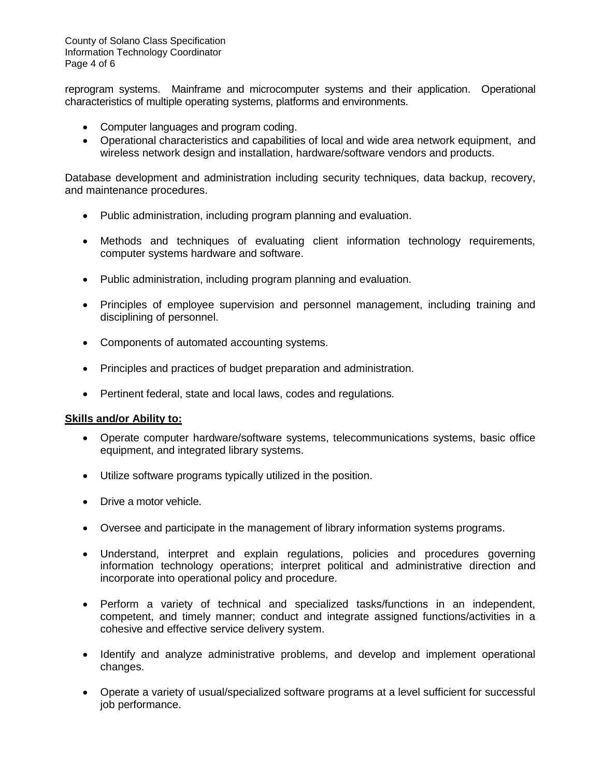County of Solano Class Specification Information Technology Coordinator Page 4 of 6

reprogram systems. Mainframe and microcomputer systems and their application. Operational characteristics of multiple operating systems, platforms and environments.

- Computer languages and program coding.
- Operational characteristics and capabilities of local and wide area network equipment, and wireless network design and installation, hardware/software vendors and products.

Database development and administration including security techniques, data backup, recovery, and maintenance procedures.

- Public administration, including program planning and evaluation.
- Methods and techniques of evaluating client information technology requirements, computer systems hardware and software.
- Public administration, including program planning and evaluation.
- Principles of employee supervision and personnel management, including training and disciplining of personnel.
- Components of automated accounting systems.
- Principles and practices of budget preparation and administration.
- Pertinent federal, state and local laws, codes and regulations.

#### **Skills and/or Ability to:**

- Operate computer hardware/software systems, telecommunications systems, basic office equipment, and integrated library systems.
- Utilize software programs typically utilized in the position.
- Drive a motor vehicle.
- Oversee and participate in the management of library information systems programs.
- Understand, interpret and explain regulations, policies and procedures governing information technology operations; interpret political and administrative direction and incorporate into operational policy and procedure.
- Perform a variety of technical and specialized tasks/functions in an independent, competent, and timely manner; conduct and integrate assigned functions/activities in a cohesive and effective service delivery system.
- Identify and analyze administrative problems, and develop and implement operational changes.
- Operate a variety of usual/specialized software programs at a level sufficient for successful job performance.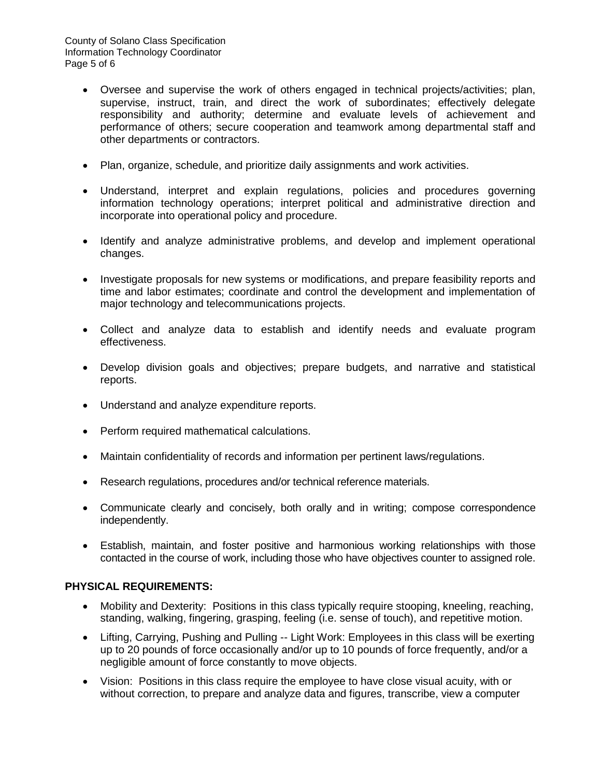- Oversee and supervise the work of others engaged in technical projects/activities; plan, supervise, instruct, train, and direct the work of subordinates; effectively delegate responsibility and authority; determine and evaluate levels of achievement and performance of others; secure cooperation and teamwork among departmental staff and other departments or contractors.
- Plan, organize, schedule, and prioritize daily assignments and work activities.
- Understand, interpret and explain regulations, policies and procedures governing information technology operations; interpret political and administrative direction and incorporate into operational policy and procedure.
- Identify and analyze administrative problems, and develop and implement operational changes.
- Investigate proposals for new systems or modifications, and prepare feasibility reports and time and labor estimates; coordinate and control the development and implementation of major technology and telecommunications projects.
- Collect and analyze data to establish and identify needs and evaluate program effectiveness.
- Develop division goals and objectives; prepare budgets, and narrative and statistical reports.
- Understand and analyze expenditure reports.
- Perform required mathematical calculations.
- Maintain confidentiality of records and information per pertinent laws/regulations.
- Research regulations, procedures and/or technical reference materials.
- Communicate clearly and concisely, both orally and in writing; compose correspondence independently.
- Establish, maintain, and foster positive and harmonious working relationships with those contacted in the course of work, including those who have objectives counter to assigned role.

# **PHYSICAL REQUIREMENTS:**

- Mobility and Dexterity: Positions in this class typically require stooping, kneeling, reaching, standing, walking, fingering, grasping, feeling (i.e. sense of touch), and repetitive motion.
- Lifting, Carrying, Pushing and Pulling -- Light Work: Employees in this class will be exerting up to 20 pounds of force occasionally and/or up to 10 pounds of force frequently, and/or a negligible amount of force constantly to move objects.
- Vision: Positions in this class require the employee to have close visual acuity, with or without correction, to prepare and analyze data and figures, transcribe, view a computer